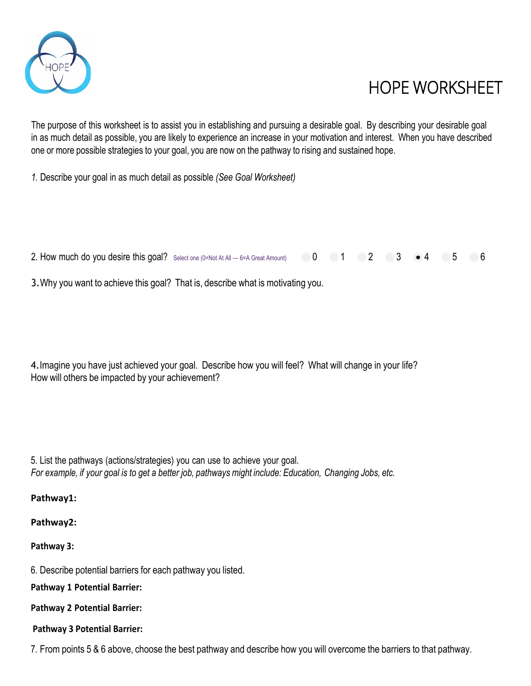

## HOPE WORKSHEET

The purpose of this worksheet is to assist you in establishing and pursuing a desirable goal. By describing your desirable goal in as much detail as possible, you are likely to experience an increase in your motivation and interest. When you have described one or more possible strategies to your goal, you are now on the pathway to rising and sustained hope.

*1.* Describe your goal in as much detail as possible *(See Goal Worksheet)*

2. How much do you desire this goal? Select one (0=Not At All  $-$  6=A Great Amount) 0 1 2 3  $\cdot$  4 5 6

3.Why you want to achieve this goal? That is, describe what is motivating you.

4.Imagine you have just achieved your goal. Describe how you will feel? What will change in your life? How will others be impacted by your achievement?

5. List the pathways (actions/strategies) you can use to achieve your goal. *For example, if your goal is to get a better job, pathways might include: Education, Changing Jobs, etc.*

**Pathway1:**

**Pathway2:**

**Pathway 3:**

6. Describe potential barriers for each pathway you listed.

**Pathway 1 Potential Barrier:**

**Pathway 2 Potential Barrier:**

**Pathway 3 Potential Barrier:**

7. From points 5 & 6 above, choose the best pathway and describe how you will overcome the barriers to that pathway.